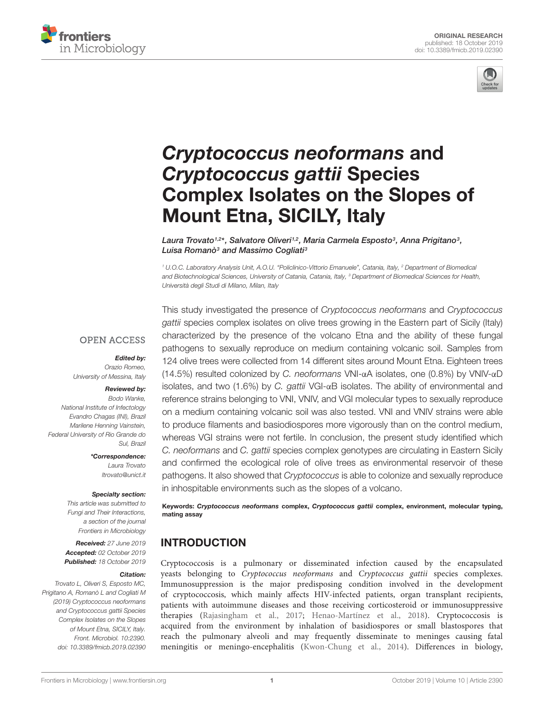



# Cryptococcus neoformans and Cryptococcus gattii Species [Complex Isolates on the Slopes of](https://www.frontiersin.org/articles/10.3389/fmicb.2019.02390/full) Mount Etna, SICILY, Italy

[Laura Trovato](http://loop.frontiersin.org/people/539556/overview)1,2\*, Salvatore Oliveri1,2, Maria Carmela Esposto3, [Anna Prigitano](http://loop.frontiersin.org/people/566687/overview)3, Luisa Romanò<sup>3</sup> and [Massimo Cogliati](http://loop.frontiersin.org/people/65500/overview)<sup>3</sup>

<sup>1</sup> U.O.C. Laboratory Analysis Unit, A.O.U. "Policlinico-Vittorio Emanuele", Catania, Italy, <sup>2</sup> Department of Biomedical and Biotechnological Sciences, University of Catania, Catania, Italy, <sup>3</sup> Department of Biomedical Sciences for Health, Università degli Studi di Milano, Milan, Italy

#### **OPEN ACCESS**

#### Edited by:

Orazio Romeo, University of Messina, Italy

#### Reviewed by:

Bodo Wanke, National Institute of Infectology Evandro Chagas (INI), Brazil Marilene Henning Vainstein, Federal University of Rio Grande do Sul, Brazil

> \*Correspondence: Laura Trovato ltrovato@unict.it

#### Specialty section:

This article was submitted to Fungi and Their Interactions, a section of the journal Frontiers in Microbiology

Received: 27 June 2019 Accepted: 02 October 2019 Published: 18 October 2019

#### Citation:

Trovato L, Oliveri S, Esposto MC, Prigitano A, Romanò L and Cogliati M (2019) Cryptococcus neoformans and Cryptococcus gattii Species Complex Isolates on the Slopes of Mount Etna, SICILY, Italy. Front. Microbiol. 10:2390. doi: [10.3389/fmicb.2019.02390](https://doi.org/10.3389/fmicb.2019.02390) This study investigated the presence of Cryptococcus neoformans and Cryptococcus gattii species complex isolates on olive trees growing in the Eastern part of Sicily (Italy) characterized by the presence of the volcano Etna and the ability of these fungal pathogens to sexually reproduce on medium containing volcanic soil. Samples from 124 olive trees were collected from 14 different sites around Mount Etna. Eighteen trees (14.5%) resulted colonized by C. neoformans VNI-αA isolates, one (0.8%) by VNIV-αD isolates, and two (1.6%) by C. gattii VGI- $\alpha$ B isolates. The ability of environmental and reference strains belonging to VNI, VNIV, and VGI molecular types to sexually reproduce on a medium containing volcanic soil was also tested. VNI and VNIV strains were able to produce filaments and basiodiospores more vigorously than on the control medium, whereas VGI strains were not fertile. In conclusion, the present study identified which C. neoformans and C. gattii species complex genotypes are circulating in Eastern Sicily and confirmed the ecological role of olive trees as environmental reservoir of these pathogens. It also showed that Cryptococcus is able to colonize and sexually reproduce in inhospitable environments such as the slopes of a volcano.

Keywords: Cryptococcus neoformans complex, Cryptococcus gattii complex, environment, molecular typing, mating assay

# INTRODUCTION

Cryptococcosis is a pulmonary or disseminated infection caused by the encapsulated yeasts belonging to Cryptococcus neoformans and Cryptococcus gattii species complexes. Immunosuppression is the major predisposing condition involved in the development of cryptococcosis, which mainly affects HIV-infected patients, organ transplant recipients, patients with autoimmune diseases and those receiving corticosteroid or immunosuppressive therapies [\(Rajasingham et al.,](#page-7-0) [2017;](#page-7-0) [Henao-Martínez et al.,](#page-6-0) [2018\)](#page-6-0). Cryptococcosis is acquired from the environment by inhalation of basidiospores or small blastospores that reach the pulmonary alveoli and may frequently disseminate to meninges causing fatal meningitis or meningo-encephalitis [\(Kwon-Chung et al.,](#page-6-1) [2014\)](#page-6-1). Differences in biology,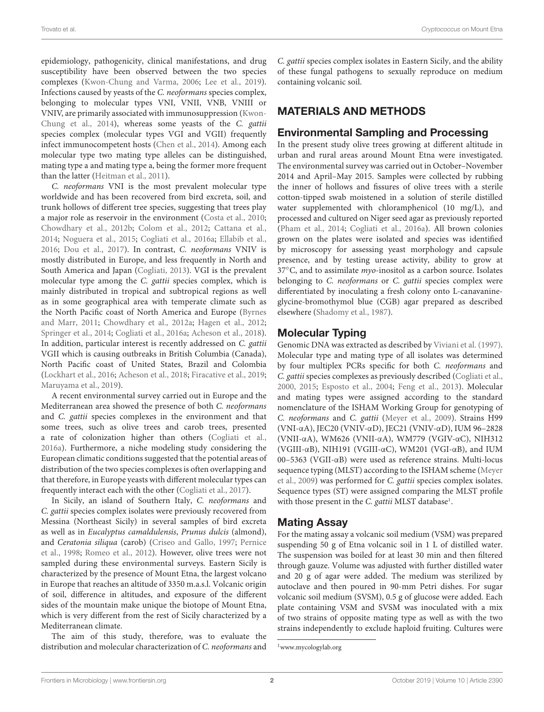epidemiology, pathogenicity, clinical manifestations, and drug susceptibility have been observed between the two species complexes [\(Kwon-Chung and Varma,](#page-6-2) [2006;](#page-6-2) [Lee et al.,](#page-6-3) [2019\)](#page-6-3). Infections caused by yeasts of the C. neoformans species complex, belonging to molecular types VNI, VNII, VNB, VNIII or VNIV, are primarily associated with immunosuppression [\(Kwon-](#page-6-1)[Chung et al.,](#page-6-1) [2014\)](#page-6-1), whereas some yeasts of the C. gattii species complex (molecular types VGI and VGII) frequently infect immunocompetent hosts [\(Chen et al.,](#page-6-4) [2014\)](#page-6-4). Among each molecular type two mating type alleles can be distinguished, mating type a and mating type a, being the former more frequent than the latter [\(Heitman et al.,](#page-6-5) [2011\)](#page-6-5).

C. neoformans VNI is the most prevalent molecular type worldwide and has been recovered from bird excreta, soil, and trunk hollows of different tree species, suggesting that trees play a major role as reservoir in the environment [\(Costa et al.,](#page-6-6) [2010;](#page-6-6) [Chowdhary et al.,](#page-6-7) [2012b;](#page-6-7) [Colom et al.,](#page-6-8) [2012;](#page-6-8) [Cattana et al.,](#page-6-9) [2014;](#page-6-9) [Noguera et al.,](#page-7-1) [2015;](#page-7-1) [Cogliati et al.,](#page-6-10) [2016a;](#page-6-10) [Ellabib et al.,](#page-6-11) [2016;](#page-6-11) [Dou et al.,](#page-6-12) [2017\)](#page-6-12). In contrast, C. neoformans VNIV is mostly distributed in Europe, and less frequently in North and South America and Japan [\(Cogliati,](#page-6-13) [2013\)](#page-6-13). VGI is the prevalent molecular type among the C. gattii species complex, which is mainly distributed in tropical and subtropical regions as well as in some geographical area with temperate climate such as the North Pacific coast of North America and Europe [\(Byrnes](#page-6-14) [and Marr,](#page-6-14) [2011;](#page-6-14) [Chowdhary et al.,](#page-6-15) [2012a;](#page-6-15) [Hagen et al.,](#page-6-16) [2012;](#page-6-16) [Springer et al.,](#page-7-2) [2014;](#page-7-2) [Cogliati et al.,](#page-6-10) [2016a;](#page-6-10) [Acheson et al.,](#page-6-17) [2018\)](#page-6-17). In addition, particular interest is recently addressed on C. gattii VGII which is causing outbreaks in British Columbia (Canada), North Pacific coast of United States, Brazil and Colombia [\(Lockhart et al.,](#page-6-18) [2016;](#page-6-18) [Acheson et al.,](#page-6-17) [2018;](#page-6-17) [Firacative et al.,](#page-6-19) [2019;](#page-6-19) [Maruyama et al.,](#page-6-20) [2019\)](#page-6-20).

A recent environmental survey carried out in Europe and the Mediterranean area showed the presence of both C. neoformans and C. gattii species complexes in the environment and that some trees, such as olive trees and carob trees, presented a rate of colonization higher than others [\(Cogliati et al.,](#page-6-10) [2016a\)](#page-6-10). Furthermore, a niche modeling study considering the European climatic conditions suggested that the potential areas of distribution of the two species complexes is often overlapping and that therefore, in Europe yeasts with different molecular types can frequently interact each with the other [\(Cogliati et al.,](#page-6-21) [2017\)](#page-6-21).

In Sicily, an island of Southern Italy, C. neoformans and C. gattii species complex isolates were previously recovered from Messina (Northeast Sicily) in several samples of bird excreta as well as in Eucalyptus camaldulensis, Prunus dulcis (almond), and Ceratonia siliqua (carob) [\(Criseo and Gallo,](#page-6-22) [1997;](#page-6-22) [Pernice](#page-7-3) [et al.,](#page-7-3) [1998;](#page-7-3) [Romeo et al.,](#page-7-4) [2012\)](#page-7-4). However, olive trees were not sampled during these environmental surveys. Eastern Sicily is characterized by the presence of Mount Etna, the largest volcano in Europe that reaches an altitude of 3350 m.a.s.l. Volcanic origin of soil, difference in altitudes, and exposure of the different sides of the mountain make unique the biotope of Mount Etna, which is very different from the rest of Sicily characterized by a Mediterranean climate.

The aim of this study, therefore, was to evaluate the distribution and molecular characterization of C. neoformans and C. gattii species complex isolates in Eastern Sicily, and the ability of these fungal pathogens to sexually reproduce on medium containing volcanic soil.

# MATERIALS AND METHODS

#### Environmental Sampling and Processing

In the present study olive trees growing at different altitude in urban and rural areas around Mount Etna were investigated. The environmental survey was carried out in October–November 2014 and April–May 2015. Samples were collected by rubbing the inner of hollows and fissures of olive trees with a sterile cotton-tipped swab moistened in a solution of sterile distilled water supplemented with chloramphenicol (10 mg/L), and processed and cultured on Niger seed agar as previously reported [\(Pham et al.,](#page-7-5) [2014;](#page-7-5) [Cogliati et al.,](#page-6-10) [2016a\)](#page-6-10). All brown colonies grown on the plates were isolated and species was identified by microscopy for assessing yeast morphology and capsule presence, and by testing urease activity, ability to grow at 37<sup>°</sup>C, and to assimilate *myo*-inositol as a carbon source. Isolates belonging to C. neoformans or C. gattii species complex were differentiated by inoculating a fresh colony onto L-canavanineglycine-bromothymol blue (CGB) agar prepared as described elsewhere [\(Shadomy et al.,](#page-7-6) [1987\)](#page-7-6).

# Molecular Typing

Genomic DNA was extracted as described by [Viviani et al.](#page-7-7) [\(1997\)](#page-7-7). Molecular type and mating type of all isolates was determined by four multiplex PCRs specific for both C. neoformans and C. gattii species complexes as previously described [\(Cogliati et al.,](#page-6-23) [2000,](#page-6-23) [2015;](#page-6-24) [Esposto et al.,](#page-6-25) [2004;](#page-6-25) [Feng et al.,](#page-6-26) [2013\)](#page-6-26). Molecular and mating types were assigned according to the standard nomenclature of the ISHAM Working Group for genotyping of C. neoformans and C. gattii [\(Meyer et al.,](#page-6-27) [2009\)](#page-6-27). Strains H99 (VNI-αA), JEC20 (VNIV-αD), JEC21 (VNIV-αD), IUM 96–2828 (VNII-αA), WM626 (VNII-αA), WM779 (VGIV-αC), NIH312 (VGIII-αB), NIH191 (VGIII-αC), WM201 (VGI-αB), and IUM 00–5363 (VGII-αB) were used as reference strains. Multi-locus sequence typing (MLST) according to the ISHAM scheme [\(Meyer](#page-6-27) [et al.,](#page-6-27) [2009\)](#page-6-27) was performed for C. gattii species complex isolates. Sequence types (ST) were assigned comparing the MLST profile with those present in the C. gattii MLST database<sup>[1](#page-1-0)</sup>.

# Mating Assay

For the mating assay a volcanic soil medium (VSM) was prepared suspending 50 g of Etna volcanic soil in 1 L of distilled water. The suspension was boiled for at least 30 min and then filtered through gauze. Volume was adjusted with further distilled water and 20 g of agar were added. The medium was sterilized by autoclave and then poured in 90-mm Petri dishes. For sugar volcanic soil medium (SVSM), 0.5 g of glucose were added. Each plate containing VSM and SVSM was inoculated with a mix of two strains of opposite mating type as well as with the two strains independently to exclude haploid fruiting. Cultures were

<span id="page-1-0"></span><sup>1</sup>[www.mycologylab.org](http://www.mycologylab.org)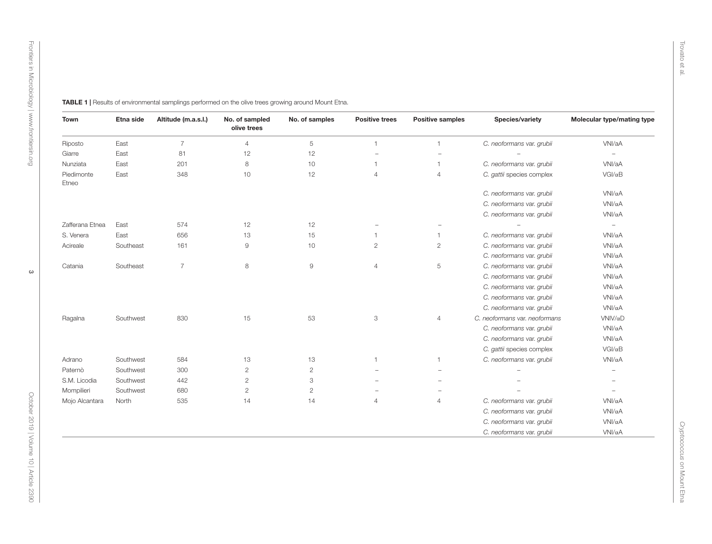<span id="page-2-0"></span>

| <b>Town</b>         | Etna side | Altitude (m.a.s.l.) | No. of sampled<br>olive trees | No. of samples            | <b>Positive trees</b> | <b>Positive samples</b>  | Species/variety               | Molecular type/mating type |
|---------------------|-----------|---------------------|-------------------------------|---------------------------|-----------------------|--------------------------|-------------------------------|----------------------------|
| Riposto             | East      | $\overline{7}$      | $\overline{4}$                | $\,$ 5 $\,$               | $\mathbf{1}$          | $\mathbf{1}$             | C. neoformans var. grubii     | VNI/aA                     |
| Giarre              | East      | 81                  | 12                            | 12                        | $\equiv$              | $\overline{\phantom{0}}$ |                               | $\overline{\phantom{0}}$   |
| Nunziata            | East      | 201                 | 8                             | 10                        | $\mathbf{1}$          | $\overline{1}$           | C. neoformans var. grubii     | VNI/aA                     |
| Piedimonte<br>Etneo | East      | 348                 | 10                            | 12                        | $\overline{4}$        | $\overline{4}$           | C. gattii species complex     | $VGI/\alpha B$             |
|                     |           |                     |                               |                           |                       |                          | C. neoformans var. grubii     | $VMI/\alpha A$             |
|                     |           |                     |                               |                           |                       |                          | C. neoformans var. grubii     | VNI/αA                     |
|                     |           |                     |                               |                           |                       |                          | C. neoformans var. grubii     | VNI/αA                     |
| Zafferana Etnea     | East      | 574                 | 12                            | 12                        |                       | $\overline{\phantom{m}}$ |                               | $\overline{\phantom{a}}$   |
| S. Venera           | East      | 656                 | 13                            | 15                        | $\mathbf{1}$          | $\overline{1}$           | C. neoformans var. grubii     | VNI/αA                     |
| Acireale            | Southeast | 161                 | 9                             | 10                        | $\overline{c}$        | $\overline{c}$           | C. neoformans var. grubii     | $VMI/\alpha A$             |
|                     |           |                     |                               |                           |                       |                          | C. neoformans var. grubii     | VNI/αA                     |
| Catania             | Southeast | $\overline{7}$      | $\,8\,$                       | $\mathrel{\mathsf{g}}$    | $\overline{4}$        | 5                        | C. neoformans var. grubii     | VNI/αA                     |
|                     |           |                     |                               |                           |                       |                          | C. neoformans var. grubii     | $VMI/\alpha A$             |
|                     |           |                     |                               |                           |                       |                          | C. neoformans var. grubii     | VNI/αA                     |
|                     |           |                     |                               |                           |                       |                          | C. neoformans var. grubii     | VNI/αA                     |
|                     |           |                     |                               |                           |                       |                          | C. neoformans var. grubii     | $VNI/\alpha A$             |
| Ragalna             | Southwest | 830                 | 15                            | 53                        | $\mathfrak{S}$        | $\overline{4}$           | C. neoformans var. neoformans | $VNIV/\alpha D$            |
|                     |           |                     |                               |                           |                       |                          | C. neoformans var. grubii     | $VNI/\alpha A$             |
|                     |           |                     |                               |                           |                       |                          | C. neoformans var. grubii     | $VMI/\alpha A$             |
|                     |           |                     |                               |                           |                       |                          | C. gattii species complex     | $VGI/\alpha B$             |
| Adrano              | Southwest | 584                 | 13                            | 13                        | 1                     | $\overline{1}$           | C. neoformans var. grubii     | VNI/αA                     |
| Paternò             | Southwest | 300                 | $\overline{c}$                | $\sqrt{2}$                |                       | $\overline{\phantom{m}}$ |                               | $\qquad \qquad -$          |
| S.M. Licodia        | Southwest | 442                 | $\mathbf{2}$                  | $\ensuremath{\mathsf{3}}$ |                       | $\equiv$                 |                               | ۰                          |
| Mompilieri          | Southwest | 680                 | $\overline{c}$                | $\overline{c}$            |                       | $\overline{\phantom{m}}$ |                               |                            |
| Mojo Alcantara      | North     | 535                 | 14                            | 14                        | $\overline{4}$        | $\overline{4}$           | C. neoformans var. grubii     | VNI/αA                     |
|                     |           |                     |                               |                           |                       |                          | C. neoformans var. grubii     | VNI/αA                     |
|                     |           |                     |                               |                           |                       |                          | C. neoformans var. grubii     | VNI/αA                     |
|                     |           |                     |                               |                           |                       |                          | C. neoformans var. grubii     | VNI/αA                     |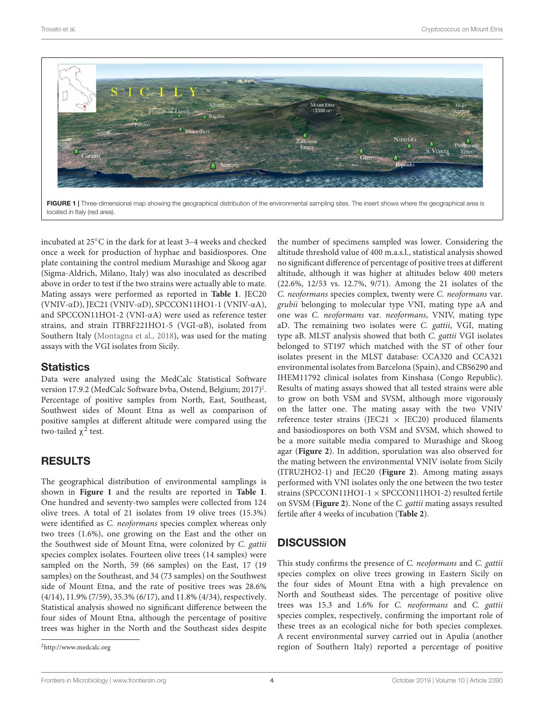

<span id="page-3-1"></span>

incubated at 25◦C in the dark for at least 3–4 weeks and checked once a week for production of hyphae and basidiospores. One plate containing the control medium Murashige and Skoog agar (Sigma-Aldrich, Milano, Italy) was also inoculated as described above in order to test if the two strains were actually able to mate. Mating assays were performed as reported in **[Table 1](#page-2-0)**. JEC20 (VNIV-αD), JEC21 (VNIV-αD), SPCCON11HO1-1 (VNIV-αA), and SPCCON11HO1-2 (VNI-αA) were used as reference tester strains, and strain ITBRF221HO1-5 (VGI-αB), isolated from Southern Italy [\(Montagna et al.,](#page-6-28) [2018\)](#page-6-28), was used for the mating assays with the VGI isolates from Sicily.

#### **Statistics**

Data were analyzed using the MedCalc Statistical Software version 17.9.[2](#page-3-0) (MedCalc Software bvba, Ostend, Belgium; 2017)<sup>2</sup>. Percentage of positive samples from North, East, Southeast, Southwest sides of Mount Etna as well as comparison of positive samples at different altitude were compared using the two-tailed  $\chi^2$  test.

# RESULTS

The geographical distribution of environmental samplings is shown in **[Figure 1](#page-3-1)** and the results are reported in **[Table 1](#page-2-0)**. One hundred and seventy-two samples were collected from 124 olive trees. A total of 21 isolates from 19 olive trees (15.3%) were identified as C. neoformans species complex whereas only two trees (1.6%), one growing on the East and the other on the Southwest side of Mount Etna, were colonized by C. gattii species complex isolates. Fourteen olive trees (14 samples) were sampled on the North, 59 (66 samples) on the East, 17 (19 samples) on the Southeast, and 34 (73 samples) on the Southwest side of Mount Etna, and the rate of positive trees was 28.6% (4/14), 11.9% (7/59), 35.3% (6/17), and 11.8% (4/34), respectively. Statistical analysis showed no significant difference between the four sides of Mount Etna, although the percentage of positive trees was higher in the North and the Southeast sides despite

the number of specimens sampled was lower. Considering the altitude threshold value of 400 m.a.s.l., statistical analysis showed no significant difference of percentage of positive trees at different altitude, although it was higher at altitudes below 400 meters (22.6%, 12/53 vs. 12.7%, 9/71). Among the 21 isolates of the C. neoformans species complex, twenty were C. neoformans var. grubii belonging to molecular type VNI, mating type aA and one was C. neoformans var. neoformans, VNIV, mating type aD. The remaining two isolates were C. gattii, VGI, mating type aB. MLST analysis showed that both C. gattii VGI isolates belonged to ST197 which matched with the ST of other four isolates present in the MLST database: CCA320 and CCA321 environmental isolates from Barcelona (Spain), and CBS6290 and IHEM11792 clinical isolates from Kinshasa (Congo Republic). Results of mating assays showed that all tested strains were able to grow on both VSM and SVSM, although more vigorously on the latter one. The mating assay with the two VNIV reference tester strains (JEC21  $\times$  JEC20) produced filaments and basiodiospores on both VSM and SVSM, which showed to be a more suitable media compared to Murashige and Skoog agar (**[Figure 2](#page-4-0)**). In addition, sporulation was also observed for the mating between the environmental VNIV isolate from Sicily (ITRU2HO2-1) and JEC20 (**[Figure 2](#page-4-0)**). Among mating assays performed with VNI isolates only the one between the two tester strains (SPCCON11HO1-1 × SPCCON11HO1-2) resulted fertile on SVSM (**[Figure 2](#page-4-0)**). None of the C. gattii mating assays resulted fertile after 4 weeks of incubation (**[Table 2](#page-5-0)**).

# **DISCUSSION**

This study confirms the presence of C. neoformans and C. gattii species complex on olive trees growing in Eastern Sicily on the four sides of Mount Etna with a high prevalence on North and Southeast sides. The percentage of positive olive trees was 15.3 and 1.6% for C. neoformans and C. gattii species complex, respectively, confirming the important role of these trees as an ecological niche for both species complexes. A recent environmental survey carried out in Apulia (another region of Southern Italy) reported a percentage of positive

<span id="page-3-0"></span><sup>2</sup><http://www.medcalc.org>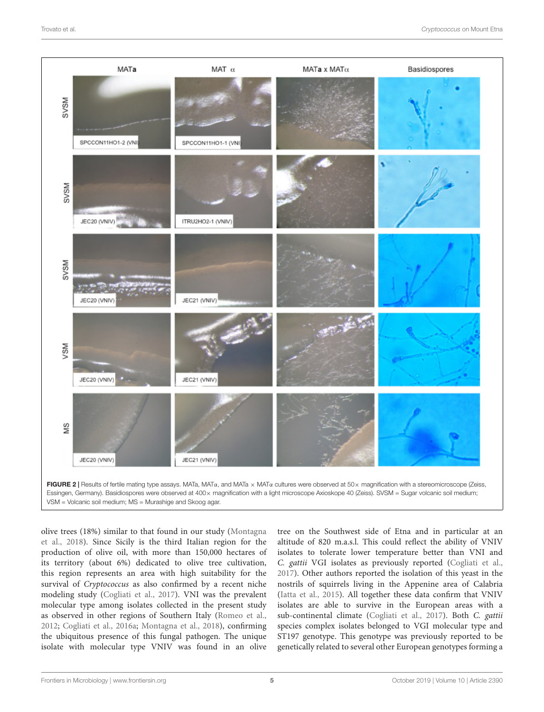

<span id="page-4-0"></span>Essingen, Germany). Basidiospores were observed at 400x magnification with a light microscope Axioskope 40 (Zeiss). SVSM = Sugar volcanic soil medium; VSM = Volcanic soil medium; MS = Murashige and Skoog agar.

olive trees (18%) similar to that found in our study [\(Montagna](#page-6-28) [et al.,](#page-6-28) [2018\)](#page-6-28). Since Sicily is the third Italian region for the production of olive oil, with more than 150,000 hectares of its territory (about 6%) dedicated to olive tree cultivation, this region represents an area with high suitability for the survival of *Cryptococcus* as also confirmed by a recent niche modeling study [\(Cogliati et al.,](#page-6-21) [2017\)](#page-6-21). VNI was the prevalent molecular type among isolates collected in the present study as observed in other regions of Southern Italy [\(Romeo et al.,](#page-7-4) [2012;](#page-7-4) [Cogliati et al.,](#page-6-10) [2016a;](#page-6-10) [Montagna et al.,](#page-6-28) [2018\)](#page-6-28), confirming the ubiquitous presence of this fungal pathogen. The unique isolate with molecular type VNIV was found in an olive tree on the Southwest side of Etna and in particular at an altitude of 820 m.a.s.l. This could reflect the ability of VNIV isolates to tolerate lower temperature better than VNI and C. gattii VGI isolates as previously reported [\(Cogliati et al.,](#page-6-21) [2017\)](#page-6-21). Other authors reported the isolation of this yeast in the nostrils of squirrels living in the Appenine area of Calabria [\(Iatta et al.,](#page-6-29) [2015\)](#page-6-29). All together these data confirm that VNIV isolates are able to survive in the European areas with a sub-continental climate [\(Cogliati et al.,](#page-6-21) [2017\)](#page-6-21). Both C. gattii species complex isolates belonged to VGI molecular type and ST197 genotype. This genotype was previously reported to be genetically related to several other European genotypes forming a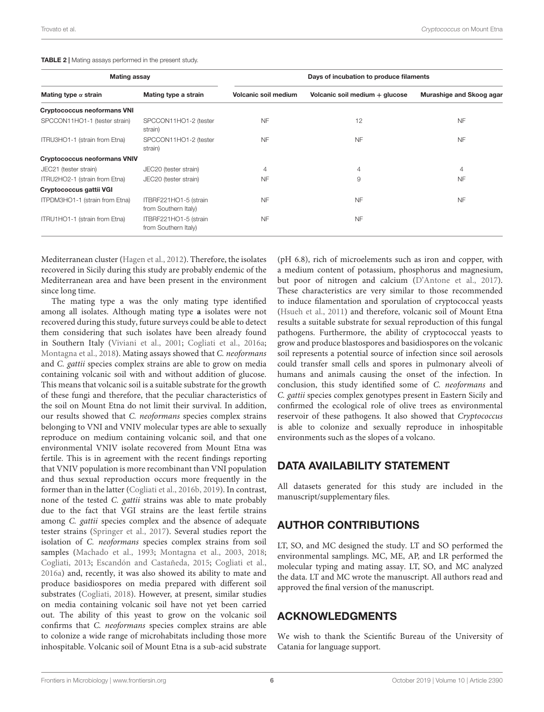<span id="page-5-0"></span>

| TABLE 2   Mating assays performed in the present study. |
|---------------------------------------------------------|
|---------------------------------------------------------|

| <b>Mating assay</b>                 |                                               | Days of incubation to produce filaments |                                |                          |  |  |
|-------------------------------------|-----------------------------------------------|-----------------------------------------|--------------------------------|--------------------------|--|--|
| Mating type $\alpha$ strain         | Mating type a strain                          | Volcanic soil medium                    | Volcanic soil medium + glucose | Murashige and Skoog agar |  |  |
| <b>Cryptococcus neoformans VNI</b>  |                                               |                                         |                                |                          |  |  |
| SPCCON11HO1-1 (tester strain)       | SPCCON11HO1-2 (tester<br>strain)              | NF                                      | 12                             | <b>NF</b>                |  |  |
| ITRU3HO1-1 (strain from Etna)       | SPCCON11HO1-2 (tester<br>strain)              | <b>NF</b>                               | <b>NF</b>                      | <b>NF</b>                |  |  |
| <b>Cryptococcus neoformans VNIV</b> |                                               |                                         |                                |                          |  |  |
| JEC21 (tester strain)               | JEC20 (tester strain)                         | 4                                       | 4                              | $\overline{4}$           |  |  |
| ITRU2HO2-1 (strain from Etna)       | JEC20 (tester strain)                         | <b>NF</b>                               | 9                              | <b>NF</b>                |  |  |
| Cryptococcus gattii VGI             |                                               |                                         |                                |                          |  |  |
| ITPDM3HO1-1 (strain from Etna)      | ITBRF221HO1-5 (strain<br>from Southern Italy) | <b>NF</b>                               | <b>NF</b>                      | <b>NF</b>                |  |  |
| ITRU1HO1-1 (strain from Etna)       | ITBRF221HO1-5 (strain<br>from Southern Italy) | <b>NF</b>                               | <b>NF</b>                      |                          |  |  |

Mediterranean cluster [\(Hagen et al.,](#page-6-16) [2012\)](#page-6-16). Therefore, the isolates recovered in Sicily during this study are probably endemic of the Mediterranean area and have been present in the environment since long time.

The mating type a was the only mating type identified among all isolates. Although mating type **a** isolates were not recovered during this study, future surveys could be able to detect them considering that such isolates have been already found in Southern Italy [\(Viviani et al.,](#page-7-8) [2001;](#page-7-8) [Cogliati et al.,](#page-6-10) [2016a;](#page-6-10) [Montagna et al.,](#page-6-28) [2018\)](#page-6-28). Mating assays showed that C. neoformans and C. gattii species complex strains are able to grow on media containing volcanic soil with and without addition of glucose. This means that volcanic soil is a suitable substrate for the growth of these fungi and therefore, that the peculiar characteristics of the soil on Mount Etna do not limit their survival. In addition, our results showed that C. neoformans species complex strains belonging to VNI and VNIV molecular types are able to sexually reproduce on medium containing volcanic soil, and that one environmental VNIV isolate recovered from Mount Etna was fertile. This is in agreement with the recent findings reporting that VNIV population is more recombinant than VNI population and thus sexual reproduction occurs more frequently in the former than in the latter [\(Cogliati et al.,](#page-6-30) [2016b,](#page-6-30) [2019\)](#page-6-31). In contrast, none of the tested C. gattii strains was able to mate probably due to the fact that VGI strains are the least fertile strains among C. gattii species complex and the absence of adequate tester strains [\(Springer et al.,](#page-7-9) [2017\)](#page-7-9). Several studies report the isolation of C. neoformans species complex strains from soil samples [\(Machado et al.,](#page-6-32) [1993;](#page-6-32) [Montagna et al.,](#page-7-10) [2003,](#page-7-10) [2018;](#page-6-28) [Cogliati,](#page-6-13) [2013;](#page-6-13) [Escandón and Castañeda,](#page-6-33) [2015;](#page-6-33) [Cogliati et al.,](#page-6-10) [2016a\)](#page-6-10) and, recently, it was also showed its ability to mate and produce basidiospores on media prepared with different soil substrates [\(Cogliati,](#page-6-34) [2018\)](#page-6-34). However, at present, similar studies on media containing volcanic soil have not yet been carried out. The ability of this yeast to grow on the volcanic soil confirms that C. neoformans species complex strains are able to colonize a wide range of microhabitats including those more inhospitable. Volcanic soil of Mount Etna is a sub-acid substrate

(pH 6.8), rich of microelements such as iron and copper, with a medium content of potassium, phosphorus and magnesium, but poor of nitrogen and calcium [\(D'Antone et al.,](#page-6-35) [2017\)](#page-6-35). These characteristics are very similar to those recommended to induce filamentation and sporulation of cryptococcal yeasts [\(Hsueh et al.,](#page-6-36) [2011\)](#page-6-36) and therefore, volcanic soil of Mount Etna results a suitable substrate for sexual reproduction of this fungal pathogens. Furthermore, the ability of cryptococcal yeasts to grow and produce blastospores and basidiospores on the volcanic soil represents a potential source of infection since soil aerosols could transfer small cells and spores in pulmonary alveoli of humans and animals causing the onset of the infection. In conclusion, this study identified some of C. neoformans and C. gattii species complex genotypes present in Eastern Sicily and confirmed the ecological role of olive trees as environmental reservoir of these pathogens. It also showed that Cryptococcus is able to colonize and sexually reproduce in inhospitable environments such as the slopes of a volcano.

#### DATA AVAILABILITY STATEMENT

All datasets generated for this study are included in the manuscript/supplementary files.

#### AUTHOR CONTRIBUTIONS

LT, SO, and MC designed the study. LT and SO performed the environmental samplings. MC, ME, AP, and LR performed the molecular typing and mating assay. LT, SO, and MC analyzed the data. LT and MC wrote the manuscript. All authors read and approved the final version of the manuscript.

#### ACKNOWLEDGMENTS

We wish to thank the Scientific Bureau of the University of Catania for language support.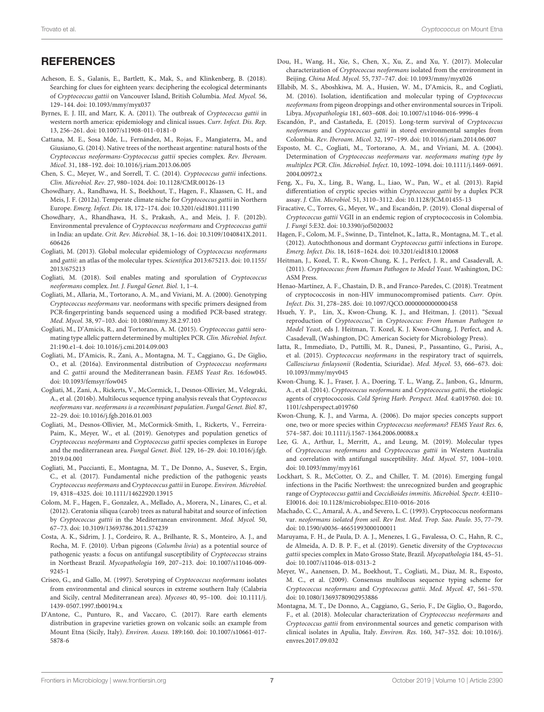#### **REFERENCES**

- <span id="page-6-17"></span>Acheson, E. S., Galanis, E., Bartlett, K., Mak, S., and Klinkenberg, B. (2018). Searching for clues for eighteen years: deciphering the ecological determinants of Cryptococcus gattii on Vancouver Island, British Columbia. Med. Mycol. 56, 129–144. [doi: 10.1093/mmy/myx037](https://doi.org/10.1093/mmy/myx037)
- <span id="page-6-14"></span>Byrnes, E. J. III, and Marr, K. A. (2011). The outbreak of Cryptococcus gattii in western north america: epidemiology and clinical issues. Curr. Infect. Dis. Rep. 13, 256–261. [doi: 10.1007/s11908-011-0181-0](https://doi.org/10.1007/s11908-011-0181-0)
- <span id="page-6-9"></span>Cattana, M. E., Sosa Mde, L., Fernández, M., Rojas, F., Mangiaterra, M., and Giusiano, G. (2014). Native trees of the northeast argentine: natural hosts of the Cryptococcus neoformans-Cryptococcus gattii species complex. Rev. Iberoam. Micol. 31, 188–192. [doi: 10.1016/j.riam.2013.06.005](https://doi.org/10.1016/j.riam.2013.06.005)
- <span id="page-6-4"></span>Chen, S. C., Meyer, W., and Sorrell, T. C. (2014). Cryptococcus gattii infections. Clin. Microbiol. Rev. 27, 980–1024. [doi: 10.1128/CMR.00126-13](https://doi.org/10.1128/CMR.00126-13)
- <span id="page-6-15"></span>Chowdhary, A., Randhawa, H. S., Boekhout, T., Hagen, F., Klaassen, C. H., and Meis, J. F. (2012a). Temperate climate niche for Cryptococcus gattii in Northern Europe. Emerg. Infect. Dis. 18, 172–174. [doi: 10.3201/eid1801.111190](https://doi.org/10.3201/eid1801.111190)
- <span id="page-6-7"></span>Chowdhary, A., Rhandhawa, H. S., Prakash, A., and Meis, J. F. (2012b). Environmental prevalence of Cryptococcus neoformans and Cryptococcus gattii in India: an update. Crit. Rev. Microbiol. 38, 1–16. [doi: 10.3109/1040841X.2011.](https://doi.org/10.3109/1040841X.2011.606426) [606426](https://doi.org/10.3109/1040841X.2011.606426)
- <span id="page-6-13"></span>Cogliati, M. (2013). Global molecular epidemiology of Cryptococcus neoformans and gattii: an atlas of the molecular types. Scientifica 2013:675213. [doi: 10.1155/](https://doi.org/10.1155/2013/675213) [2013/675213](https://doi.org/10.1155/2013/675213)
- <span id="page-6-34"></span>Cogliati, M. (2018). Soil enables mating and sporulation of Cryptococcus neoformans complex. Int. J. Fungal Genet. Biol. 1, 1–4.
- <span id="page-6-23"></span>Cogliati, M., Allaria, M., Tortorano, A. M., and Viviani, M. A. (2000). Genotyping Cryptococcus neoformans var. neoformans with specific primers designed from PCR-fingerprinting bands sequenced using a modified PCR-based strategy. Med. Mycol. 38, 97–103. [doi: 10.1080/mmy.38.2.97.103](https://doi.org/10.1080/mmy.38.2.97.103)
- <span id="page-6-24"></span>Cogliati, M., D'Amicis, R., and Tortorano, A. M. (2015). Cryptococcus gattii seromating type allelic pattern determined by multiplex PCR. Clin. Microbiol. Infect. 21:190.e1-4. [doi: 10.1016/j.cmi.2014.09.003](https://doi.org/10.1016/j.cmi.2014.09.003)
- <span id="page-6-10"></span>Cogliati, M., D'Amicis, R., Zani, A., Montagna, M. T., Caggiano, G., De Giglio, O., et al. (2016a). Environmental distribution of Cryptococcus neoformans and C. gattii around the Mediterranean basin. FEMS Yeast Res. 16:fow045. [doi: 10.1093/femsyr/fow045](https://doi.org/10.1093/femsyr/fow045)
- <span id="page-6-30"></span>Cogliati, M., Zani, A., Rickerts, V., McCormick, I., Desnos-Ollivier, M., Velegraki, A., et al. (2016b). Multilocus sequence typing analysis reveals that Cryptococcus neoformans var. neoformans is a recombinant population. Fungal Genet. Biol. 87, 22–29. [doi: 10.1016/j.fgb.2016.01.003](https://doi.org/10.1016/j.fgb.2016.01.003)
- <span id="page-6-31"></span>Cogliati, M., Desnos-Ollivier, M., McCormick-Smith, I., Rickerts, V., Ferreira-Paim, K., Meyer, W., et al. (2019). Genotypes and population genetics of Cryptococcus neoformans and Cryptococcus gattii species complexes in Europe and the mediterranean area. Fungal Genet. Biol. 129, 16–29. [doi: 10.1016/j.fgb.](https://doi.org/10.1016/j.fgb.2019.04.001) [2019.04.001](https://doi.org/10.1016/j.fgb.2019.04.001)
- <span id="page-6-21"></span>Cogliati, M., Puccianti, E., Montagna, M. T., De Donno, A., Susever, S., Ergin, C., et al. (2017). Fundamental niche prediction of the pathogenic yeasts Cryptococcus neoformans and Cryptococcus gattii in Europe. Environ. Microbiol. 19, 4318–4325. [doi: 10.1111/14622920.13915](https://doi.org/10.1111/14622920.13915)
- <span id="page-6-8"></span>Colom, M. F., Hagen, F., Gonzalez, A., Mellado, A., Morera, N., Linares, C., et al. (2012). Ceratonia siliqua (carob) trees as natural habitat and source of infection by Cryptococcus gattii in the Mediterranean environment. Med. Mycol. 50, 67–73. [doi: 10.3109/13693786.2011.574239](https://doi.org/10.3109/13693786.2011.574239)
- <span id="page-6-6"></span>Costa, A. K., Sidrim, J. J., Cordeiro, R. A., Brilhante, R. S., Monteiro, A. J., and Rocha, M. F. (2010). Urban pigeons (Columba livia) as a potential source of pathogenic yeasts: a focus on antifungal susceptibility of Cryptococcus strains in Northeast Brazil. Mycopathologia 169, 207–213. [doi: 10.1007/s11046-009-](https://doi.org/10.1007/s11046-009-9245-1) [9245-1](https://doi.org/10.1007/s11046-009-9245-1)
- <span id="page-6-22"></span>Criseo, G., and Gallo, M. (1997). Serotyping of Cryptococcus neoformans isolates from environmental and clinical sources in extreme southern Italy (Calabria and Sicily, central Mediterranean area). Mycoses 40, 95–100. [doi: 10.1111/j.](https://doi.org/10.1111/j.1439-0507.1997.tb00194.x) [1439-0507.1997.tb00194.x](https://doi.org/10.1111/j.1439-0507.1997.tb00194.x)
- <span id="page-6-35"></span>D'Antone, C., Punturo, R., and Vaccaro, C. (2017). Rare earth elements distribution in grapevine varieties grown on volcanic soils: an example from Mount Etna (Sicily, Italy). Environ. Assess. 189:160. [doi: 10.1007/s10661-017-](https://doi.org/10.1007/s10661-017-5878-6) [5878-6](https://doi.org/10.1007/s10661-017-5878-6)
- <span id="page-6-12"></span>Dou, H., Wang, H., Xie, S., Chen, X., Xu, Z., and Xu, Y. (2017). Molecular characterization of Cryptococcus neoformans isolated from the environment in Beijing. China Med. Mycol. 55, 737–747. [doi: 10.1093/mmy/myx026](https://doi.org/10.1093/mmy/myx026)
- <span id="page-6-11"></span>Ellabib, M. S., Aboshkiwa, M. A., Husien, W. M., D'Amicis, R., and Cogliati, M. (2016). Isolation, identification and molecular typing of Cryptococcus neoformans from pigeon droppings and other environmental sources in Tripoli. Libya. Mycopathologia 181, 603–608. [doi: 10.1007/s11046-016-9996-4](https://doi.org/10.1007/s11046-016-9996-4)
- <span id="page-6-33"></span>Escandón, P., and Castañeda, E. (2015). Long-term survival of Cryptococcus neoformans and Cryptococcus gattii in stored environmental samples from Colombia. Rev. Iberoam. Micol. 32, 197–199. [doi: 10.1016/j.riam.2014.06.007](https://doi.org/10.1016/j.riam.2014.06.007)
- <span id="page-6-25"></span>Esposto, M. C., Cogliati, M., Tortorano, A. M., and Viviani, M. A. (2004). Determination of Cryptococcus neoformans var. neoformans mating type by multiplex PCR. Clin. Microbiol. Infect. 10, 1092–1094. [doi: 10.1111/j.1469-0691.](https://doi.org/10.1111/j.1469-0691.2004.00972.x) [2004.00972.x](https://doi.org/10.1111/j.1469-0691.2004.00972.x)
- <span id="page-6-26"></span>Feng, X., Fu, X., Ling, B., Wang, L., Liao, W., Pan, W., et al. (2013). Rapid differentiation of cryptic species within Cryptococcus gattii by a duplex PCR assay. J. Clin. Microbiol. 51, 3110–3112. [doi: 10.1128/JCM.01455-13](https://doi.org/10.1128/JCM.01455-13)
- <span id="page-6-19"></span>Firacative, C., Torres, G., Meyer, W., and Escandón, P. (2019). Clonal dispersal of Cryptococcus gattii VGII in an endemic region of cryptococcosis in Colombia. J. Fungi 5:E32. [doi: 10.3390/jof5020032](https://doi.org/10.3390/jof5020032)
- <span id="page-6-16"></span>Hagen, F., Colom, M. F., Swinne, D., Tintelnot, K., Iatta, R., Montagna, M. T., et al. (2012). Autochthonous and dormant Cryptococcus gattii infections in Europe. Emerg. Infect. Dis. 18, 1618–1624. [doi: 10.3201/eid1810.120068](https://doi.org/10.3201/eid1810.120068)
- <span id="page-6-5"></span>Heitman, J., Kozel, T. R., Kwon-Chung, K. J., Perfect, J. R., and Casadevall, A. (2011). Cryptococcus: from Human Pathogen to Model Yeast. Washington, DC: ASM Press.
- <span id="page-6-0"></span>Henao-Martínez, A. F., Chastain, D. B., and Franco-Paredes, C. (2018). Treatment of cryptococcosis in non-HIV immunocompromised patients. Curr. Opin. Infect. Dis. 31, 278–285. [doi: 10.1097/QCO.0000000000000458](https://doi.org/10.1097/QCO.0000000000000458)
- <span id="page-6-36"></span>Hsueh, Y. P., Lin, X., Kwon-Chung, K. J., and Heitman, J. (2011). "Sexual reproduction of Cryptococcus," in Cryptococcus: From Human Pathogen to Model Yeast, eds J. Heitman, T. Kozel, K. J. Kwon-Chung, J. Perfect, and A. Casadevall, (Washington, DC: American Society for Microbiology Press).
- <span id="page-6-29"></span>Iatta, R., Immediato, D., Puttilli, M. R., Danesi, P., Passantino, G., Parisi, A., et al. (2015). Cryptococcus neoformans in the respiratory tract of squirrels, Callosciurus finlaysonii (Rodentia, Sciuridae). Med. Mycol. 53, 666–673. [doi:](https://doi.org/10.1093/mmy/myv045) [10.1093/mmy/myv045](https://doi.org/10.1093/mmy/myv045)
- <span id="page-6-1"></span>Kwon-Chung, K. J., Fraser, J. A., Doering, T. L., Wang, Z., Janbon, G., Idnurm, A., et al. (2014). Cryptococcus neoformans and Cryptococcus gattii, the etiologic agents of cryptococcosis. Cold Spring Harb. Perspect. Med. 4:a019760. [doi: 10.](https://doi.org/10.1101/cshperspect.a019760) [1101/cshperspect.a019760](https://doi.org/10.1101/cshperspect.a019760)
- <span id="page-6-2"></span>Kwon-Chung, K. J., and Varma, A. (2006). Do major species concepts support one, two or more species within Cryptococcus neoformans? FEMS Yeast Res. 6, 574–587. [doi: 10.1111/j.1567-1364.2006.00088.x](https://doi.org/10.1111/j.1567-1364.2006.00088.x)
- <span id="page-6-3"></span>Lee, G. A., Arthur, I., Merritt, A., and Leung, M. (2019). Molecular types of Cryptococcus neoformans and Cryptococcus gattii in Western Australia and correlation with antifungal susceptibility. Med. Mycol. 57, 1004–1010. [doi: 10.1093/mmy/myy161](https://doi.org/10.1093/mmy/myy161)
- <span id="page-6-18"></span>Lockhart, S. R., McCotter, O. Z., and Chiller, T. M. (2016). Emerging fungal infections in the Pacific Northwest: the unrecognized burden and geographic range of Cryptococcus gattii and Coccidioides immitis. Microbiol. Spectr. 4:EI10– EI0016. [doi: 10.1128/microbiolspec.EI10-0016-2016](https://doi.org/10.1128/microbiolspec.EI10-0016-2016)
- <span id="page-6-32"></span>Machado, C. C., Amaral, A. A., and Severo, L. C. (1993). Cryptococcus neoformans var. neoformans isolated from soil. Rev Inst. Med. Trop. Sao. Paulo. 35, 77–79. [doi: 10.1590/s0036-46651993000100011](https://doi.org/10.1590/s0036-46651993000100011)
- <span id="page-6-20"></span>Maruyama, F. H., de Paula, D. A. J., Menezes, I. G., Favalessa, O. C., Hahn, R. C., de Almeida, A. D. B. P. F., et al. (2019). Genetic diversity of the Cryptococcus gattii species complex in Mato Grosso State, Brazil. Mycopathologia 184, 45–51. [doi: 10.1007/s11046-018-0313-2](https://doi.org/10.1007/s11046-018-0313-2)
- <span id="page-6-27"></span>Meyer, W., Aanensen, D. M., Boekhout, T., Cogliati, M., Diaz, M. R., Esposto, M. C., et al. (2009). Consensus multilocus sequence typing scheme for Cryptococcus neoformans and Cryptococcus gattii. Med. Mycol. 47, 561–570. [doi: 10.1080/13693780902953886](https://doi.org/10.1080/13693780902953886)
- <span id="page-6-28"></span>Montagna, M. T., De Donno, A., Caggiano, G., Serio, F., De Giglio, O., Bagordo, F., et al. (2018). Molecular characterization of Cryptococcus neoformans and Cryptococcus gattii from environmental sources and genetic comparison with clinical isolates in Apulia, Italy. Environ. Res. 160, 347–352. [doi: 10.1016/j.](https://doi.org/10.1016/j.envres.2017.09.032) [envres.2017.09.032](https://doi.org/10.1016/j.envres.2017.09.032)